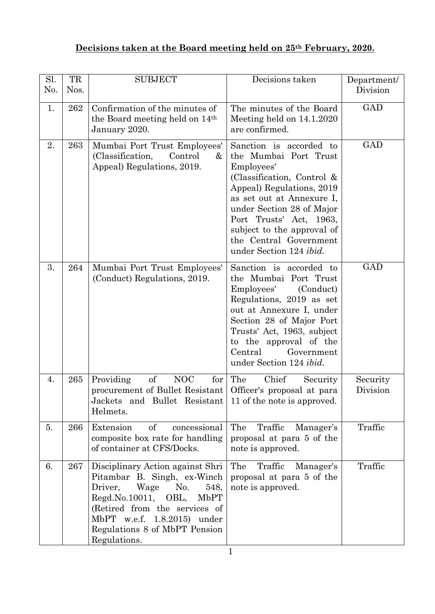## **Decisions taken at the Board meeting held on 25th February, 2020.**

| Sl.<br>No. | TR<br>Nos. | <b>SUBJECT</b>                                                                                                                                                                                                                                           | Decisions taken                                                                                                                                                                                                                                                                                             | Department/<br>Division |
|------------|------------|----------------------------------------------------------------------------------------------------------------------------------------------------------------------------------------------------------------------------------------------------------|-------------------------------------------------------------------------------------------------------------------------------------------------------------------------------------------------------------------------------------------------------------------------------------------------------------|-------------------------|
| 1.         | 262        | Confirmation of the minutes of<br>the Board meeting held on 14 <sup>th</sup><br>January 2020.                                                                                                                                                            | The minutes of the Board<br>Meeting held on 14.1.2020<br>are confirmed.                                                                                                                                                                                                                                     | <b>GAD</b>              |
| 2.         | 263        | Mumbai Port Trust Employees'<br>(Classification,<br>Control<br>&<br>Appeal) Regulations, 2019.                                                                                                                                                           | Sanction is accorded to<br>the Mumbai Port Trust<br>Employees'<br>(Classification, Control $\&$<br>Appeal) Regulations, 2019<br>as set out at Annexure I,<br>under Section 28 of Major<br>Port Trusts' Act, 1963,<br>subject to the approval of<br>the Central Government<br>under Section 124 <i>ibid.</i> | GAD                     |
| 3.         | 264        | Mumbai Port Trust Employees'<br>(Conduct) Regulations, 2019.                                                                                                                                                                                             | Sanction is accorded to<br>the Mumbai Port Trust<br>Employees'<br>(Conduct)<br>Regulations, 2019 as set<br>out at Annexure I, under<br>Section 28 of Major Port<br>Trusts' Act, 1963, subject<br>to the approval of the<br>Central<br>Government<br>under Section 124 <i>ibid.</i>                          | GAD                     |
| 4.         | 265        | of<br>Providing<br><b>NOC</b><br>for<br>procurement of Bullet Resistant<br>Jackets and Bullet Resistant 11 of the note is approved.<br>Helmets.                                                                                                          | The<br>Chief<br>Security<br>Officer's proposal at para                                                                                                                                                                                                                                                      | Security<br>Division    |
| 5.         | 266        | of<br>concessional<br>Extension<br>composite box rate for handling<br>of container at CFS/Docks.                                                                                                                                                         | The<br>Traffic<br>Manager's<br>proposal at para 5 of the<br>note is approved.                                                                                                                                                                                                                               | Traffic                 |
| 6.         | 267        | Disciplinary Action against Shri<br>Pitambar B. Singh, ex-Winch<br>Driver,<br>Wage<br>No.<br>548,<br>Regd.No.10011, OBL,<br><b>MbPT</b><br>(Retired from the services of<br>MbPT w.e.f. 1.8.2015) under<br>Regulations 8 of MbPT Pension<br>Regulations. | Traffic<br>The<br>Manager's<br>proposal at para 5 of the<br>note is approved.                                                                                                                                                                                                                               | Traffic                 |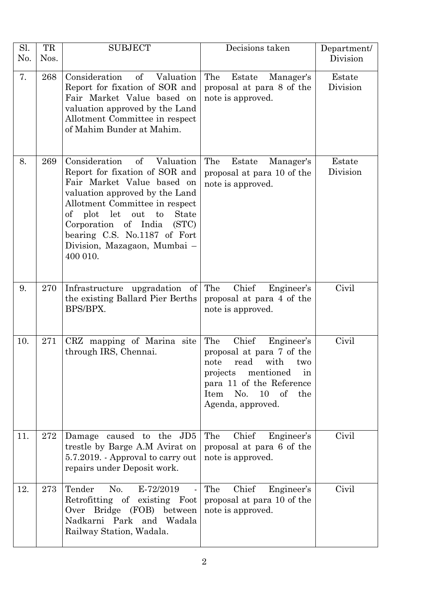| Sl.<br>No. | TR<br>Nos. | <b>SUBJECT</b>                                                                                                                                                                                                                                                                                                                | Decisions taken                                                                                                                                                                                       | Department/<br>Division |
|------------|------------|-------------------------------------------------------------------------------------------------------------------------------------------------------------------------------------------------------------------------------------------------------------------------------------------------------------------------------|-------------------------------------------------------------------------------------------------------------------------------------------------------------------------------------------------------|-------------------------|
| 7.         | 268        | of<br>Consideration<br>Valuation<br>Report for fixation of SOR and<br>Fair Market Value based on<br>valuation approved by the Land<br>Allotment Committee in respect<br>of Mahim Bunder at Mahim.                                                                                                                             | The<br>Estate<br>Manager's<br>proposal at para 8 of the<br>note is approved.                                                                                                                          | Estate<br>Division      |
| 8.         | 269        | Consideration<br>Valuation<br>of<br>Report for fixation of SOR and<br>Fair Market Value based on<br>valuation approved by the Land<br>Allotment Committee in respect<br>let<br>of plot<br>out to<br><b>State</b><br>Corporation of India<br>(STC)<br>bearing C.S. No.1187 of Fort<br>Division, Mazagaon, Mumbai –<br>400 010. | The<br>Estate<br>Manager's<br>proposal at para 10 of the<br>note is approved.                                                                                                                         | Estate<br>Division      |
| 9.         | 270        | Infrastructure upgradation of<br>the existing Ballard Pier Berths<br>BPS/BPX.                                                                                                                                                                                                                                                 | Chief<br>The<br>Engineer's<br>proposal at para 4 of the<br>note is approved.                                                                                                                          | Civil                   |
| 10.        | 271        | CRZ mapping of Marina site<br>through IRS, Chennai.                                                                                                                                                                                                                                                                           | The<br>Chief<br>Engineer's<br>proposal at para 7 of the<br>note<br>read<br>with<br>two<br>mentioned<br>projects<br>in<br>para 11 of the Reference<br>No. 10<br>of<br>Item<br>the<br>Agenda, approved. | Civil                   |
| 11.        | 272        | Damage caused to the JD5<br>trestle by Barge A.M Avirat on<br>5.7.2019. - Approval to carry out<br>repairs under Deposit work.                                                                                                                                                                                                | Chief<br>The<br>Engineer's<br>proposal at para 6 of the<br>note is approved.                                                                                                                          | Civil                   |
| 12.        | 273        | Tender<br>No.<br>E-72/2019<br>Retrofitting of existing Foot<br>Bridge (FOB)<br>Over<br>between<br>Nadkarni Park and Wadala<br>Railway Station, Wadala.                                                                                                                                                                        | Chief<br>Engineer's<br>The<br>proposal at para 10 of the<br>note is approved.                                                                                                                         | Civil                   |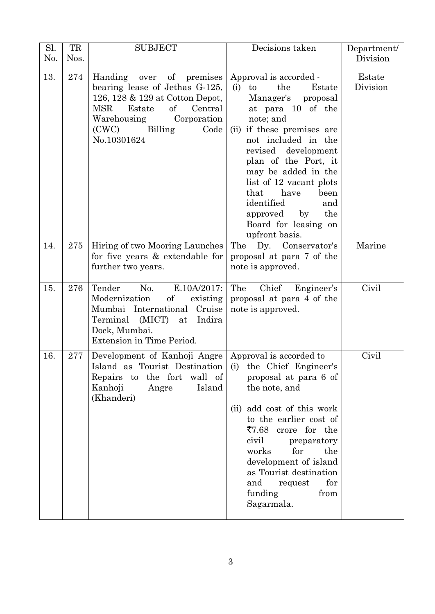| Sl.<br>No. | TR<br>Nos. | <b>SUBJECT</b>                                                                                                                                                                                              | Decisions taken                                                                                                                                                                                                                                                                                                                                                              | Department/<br>Division |
|------------|------------|-------------------------------------------------------------------------------------------------------------------------------------------------------------------------------------------------------------|------------------------------------------------------------------------------------------------------------------------------------------------------------------------------------------------------------------------------------------------------------------------------------------------------------------------------------------------------------------------------|-------------------------|
|            |            |                                                                                                                                                                                                             |                                                                                                                                                                                                                                                                                                                                                                              |                         |
| 13.        | 274        | over of premises<br>Handing<br>bearing lease of Jethas G-125,<br>126, 128 & 129 at Cotton Depot,<br>of<br>Central<br>MSR<br>Estate<br>Corporation<br>Warehousing<br>(CWC)<br>Billing<br>Code<br>No.10301624 | Approval is accorded -<br>the<br>(i)<br>to<br>Estate<br>Manager's proposal<br>at para 10 of the<br>note; and<br>(ii) if these premises are<br>not included in the<br>revised development<br>plan of the Port, it<br>may be added in the<br>list of 12 vacant plots<br>that have<br>been<br>identified<br>and<br>approved by<br>the<br>Board for leasing on<br>upfront basis. | Estate<br>Division      |
| 14.        | 275        | Hiring of two Mooring Launches<br>for five years & extendable for<br>further two years.                                                                                                                     | The Dy. Conservator's<br>proposal at para 7 of the<br>note is approved.                                                                                                                                                                                                                                                                                                      | Marine                  |
| 15.        | 276        | Tender<br>No.<br>E.10A/2017:<br>Modernization<br>of existing<br>Mumbai International Cruise<br>Terminal (MICT) at<br>Indira<br>Dock, Mumbai.<br>Extension in Time Period.                                   | The<br>Chief Engineer's<br>proposal at para 4 of the<br>note is approved.                                                                                                                                                                                                                                                                                                    | Civil                   |
| 16.        | 277        | Development of Kanhoji Angre   Approval is accorded to<br>Island as Tourist Destination (i) the Chief Engineer's<br>Repairs to the fort wall of<br>Kanhoji<br>Island<br>Angre<br>(Khanderi)                 | proposal at para 6 of<br>the note, and<br>(ii) add cost of this work<br>to the earlier cost of<br>$\overline{57.68}$ crore for the<br>civil<br>preparatory<br>works<br>for<br>the<br>development of island<br>as Tourist destination<br>for<br>and<br>request<br>funding<br>from<br>Sagarmala.                                                                               | Civil                   |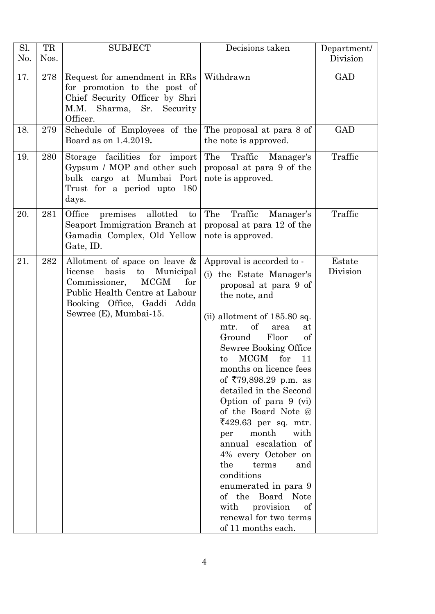| Sl. | TR   | <b>SUBJECT</b>                                                                                                                                                                                        | Decisions taken                                                                                                                                                                                                                                                                                                                                                                                                                                                                                                                                                                                                                                            | Department/        |
|-----|------|-------------------------------------------------------------------------------------------------------------------------------------------------------------------------------------------------------|------------------------------------------------------------------------------------------------------------------------------------------------------------------------------------------------------------------------------------------------------------------------------------------------------------------------------------------------------------------------------------------------------------------------------------------------------------------------------------------------------------------------------------------------------------------------------------------------------------------------------------------------------------|--------------------|
| No. | Nos. |                                                                                                                                                                                                       |                                                                                                                                                                                                                                                                                                                                                                                                                                                                                                                                                                                                                                                            | Division           |
| 17. | 278  | Request for amendment in RRs<br>for promotion to the post of<br>Chief Security Officer by Shri<br>M.M. Sharma, Sr.<br>Security<br>Officer.                                                            | Withdrawn                                                                                                                                                                                                                                                                                                                                                                                                                                                                                                                                                                                                                                                  | <b>GAD</b>         |
| 18. | 279  | Schedule of Employees of the<br>Board as on 1.4.2019.                                                                                                                                                 | The proposal at para 8 of<br>the note is approved.                                                                                                                                                                                                                                                                                                                                                                                                                                                                                                                                                                                                         | <b>GAD</b>         |
| 19. | 280  | Storage facilities for import<br>Gypsum / MOP and other such<br>bulk cargo at Mumbai Port<br>Trust for a period upto 180<br>days.                                                                     | The<br>Traffic Manager's<br>proposal at para 9 of the<br>note is approved.                                                                                                                                                                                                                                                                                                                                                                                                                                                                                                                                                                                 | Traffic            |
| 20. | 281  | premises<br>Office<br>allotted<br>to<br>Seaport Immigration Branch at<br>Gamadia Complex, Old Yellow<br>Gate, ID.                                                                                     | Traffic<br>The<br>Manager's<br>proposal at para 12 of the<br>note is approved.                                                                                                                                                                                                                                                                                                                                                                                                                                                                                                                                                                             | Traffic            |
| 21. | 282  | Allotment of space on leave &<br>basis<br>Municipal<br>license<br>to<br><b>MCGM</b><br>for<br>Commissioner,<br>Public Health Centre at Labour<br>Booking Office, Gaddi Adda<br>Sewree (E), Mumbai-15. | Approval is accorded to -<br>(i) the Estate Manager's<br>proposal at para 9 of<br>the note, and<br>$(ii)$ allotment of 185.80 sq.<br>of<br>mtr.<br>area<br>at<br>Floor<br>of<br>Ground<br>Sewree Booking Office<br>MCGM<br>for<br>11<br>to<br>months on licence fees<br>of $\overline{5}79,898.29$ p.m. as<br>detailed in the Second<br>Option of para 9 (vi)<br>of the Board Note @<br>$\text{\{429.63} per sq. mtr.}$<br>month<br>with<br>per<br>annual escalation of<br>4% every October on<br>the<br>terms<br>and<br>conditions<br>enumerated in para 9<br>of the Board Note<br>with<br>provision<br>of<br>renewal for two terms<br>of 11 months each. | Estate<br>Division |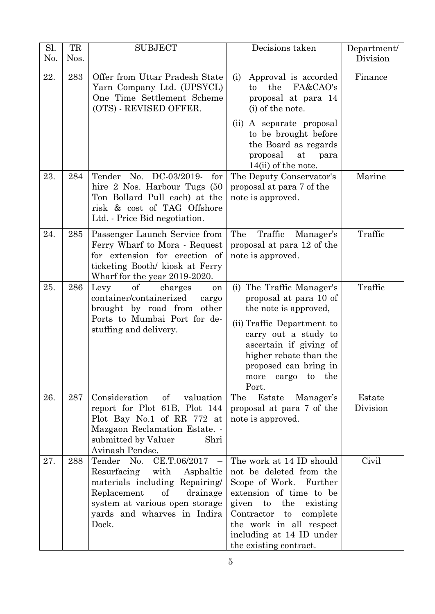| Sl.<br>No. | TR<br>Nos. | <b>SUBJECT</b>                                                                                                                                                                                                      | Decisions taken                                                                                                                                                                                                                                          | Department/<br>Division |
|------------|------------|---------------------------------------------------------------------------------------------------------------------------------------------------------------------------------------------------------------------|----------------------------------------------------------------------------------------------------------------------------------------------------------------------------------------------------------------------------------------------------------|-------------------------|
| 22.        | 283        | Offer from Uttar Pradesh State<br>Yarn Company Ltd. (UPSYCL)<br>One Time Settlement Scheme<br>(OTS) - REVISED OFFER.                                                                                                | Approval is accorded<br>(i)<br>FA&CAO's<br>the<br>to<br>proposal at para 14<br>(i) of the note.<br>A separate proposal<br>(ii)<br>to be brought before<br>the Board as regards<br>proposal<br>at<br>para<br>$14(ii)$ of the note.                        | Finance                 |
| 23.        | 284        | Tender No. DC-03/2019-<br>for<br>hire 2 Nos. Harbour Tugs (50<br>Ton Bollard Pull each) at the<br>risk & cost of TAG Offshore<br>Ltd. - Price Bid negotiation.                                                      | The Deputy Conservator's<br>proposal at para 7 of the<br>note is approved.                                                                                                                                                                               | Marine                  |
| 24.        | 285        | Passenger Launch Service from<br>Ferry Wharf to Mora - Request<br>for extension for erection of<br>ticketing Booth/ kiosk at Ferry<br>Wharf for the year 2019-2020.                                                 | Traffic<br>The<br>Manager's<br>proposal at para 12 of the<br>note is approved.                                                                                                                                                                           | Traffic                 |
| 25.        | 286        | of<br>Levy<br>charges<br>on<br>container/containerized<br>cargo<br>brought by road from other<br>Ports to Mumbai Port for de-<br>stuffing and delivery.                                                             | (i) The Traffic Manager's<br>proposal at para 10 of<br>the note is approved,<br>(ii) Traffic Department to<br>carry out a study to<br>ascertain if giving of<br>higher rebate than the<br>proposed can bring in<br>cargo to the<br>more<br>Port.         | Traffic                 |
| 26.        | 287        | Consideration<br>$\sigma f$<br>valuation<br>report for Plot 61B, Plot 144<br>Plot Bay No.1 of RR 772 at<br>Mazgaon Reclamation Estate. -<br>submitted by Valuer<br>Shri<br>Avinash Pendse.                          | The<br>Estate<br>Manager's<br>proposal at para 7 of the<br>note is approved.                                                                                                                                                                             | Estate<br>Division      |
| 27.        | 288        | Tender No.<br>CE.T.06/2017<br>$\sim$ $-$<br>Resurfacing with Asphaltic<br>materials including Repairing/<br>Replacement<br>of<br>drainage<br>system at various open storage<br>yards and wharves in Indira<br>Dock. | The work at 14 ID should<br>not be deleted from the<br>Scope of Work. Further<br>extension of time to be<br>the<br>given<br>to<br>existing<br>Contractor to<br>complete<br>the work in all respect<br>including at 14 ID under<br>the existing contract. | Civil                   |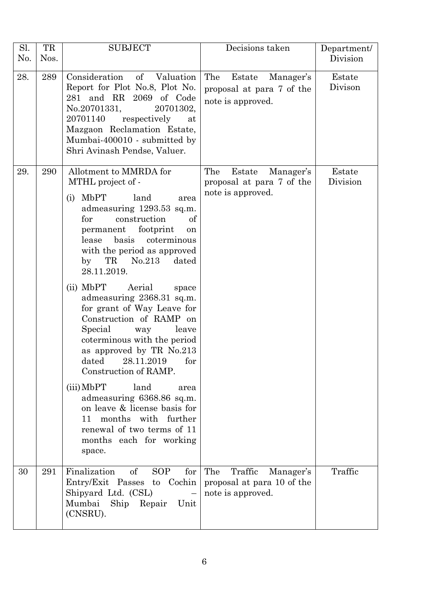| Sl.<br>No. | TR<br>Nos. | <b>SUBJECT</b>                                                                                                                                                                                                                                                                                                                                                                                                                                                                                                                                                                                                                                                                                                                                   | Decisions taken                                                                | Department/<br>Division |
|------------|------------|--------------------------------------------------------------------------------------------------------------------------------------------------------------------------------------------------------------------------------------------------------------------------------------------------------------------------------------------------------------------------------------------------------------------------------------------------------------------------------------------------------------------------------------------------------------------------------------------------------------------------------------------------------------------------------------------------------------------------------------------------|--------------------------------------------------------------------------------|-------------------------|
| 28.        | 289        | Consideration<br>of<br>Valuation<br>Report for Plot No.8, Plot No.<br>281 and RR 2069 of Code<br>No.20701331,<br>20701302,<br>20701140<br>respectively<br>at<br>Mazgaon Reclamation Estate,<br>Mumbai-400010 - submitted by<br>Shri Avinash Pendse, Valuer.                                                                                                                                                                                                                                                                                                                                                                                                                                                                                      | The<br>Estate<br>Manager's<br>proposal at para 7 of the<br>note is approved.   | Estate<br>Divison       |
| 29.        | 290        | Allotment to MMRDA for<br>MTHL project of -<br>MbPT<br>land<br>(i)<br>area<br>admeasuring 1293.53 sq.m.<br>for<br>construction<br>of<br>footprint<br>permanent<br>on<br>basis<br>coterminous<br>lease<br>with the period as approved<br>TR<br>No.213<br>by<br>dated<br>28.11.2019.<br>(ii) MbPT<br>Aerial<br>space<br>admeasuring 2368.31 sq.m.<br>for grant of Way Leave for<br>Construction of RAMP on<br>Special<br>leave<br>way<br>coterminous with the period<br>as approved by TR No.213<br>dated<br>28.11.2019<br>for<br>Construction of RAMP.<br>(iii) MbPT<br>land<br>area<br>admeasuring 6368.86 sq.m.<br>on leave & license basis for<br>months with further<br>11<br>renewal of two terms of 11<br>months each for working<br>space. | The<br>Estate<br>Manager's<br>proposal at para 7 of the<br>note is approved.   | Estate<br>Division      |
| 30         | 291        | Finalization<br>of<br>SOP<br>for<br>Entry/Exit Passes to Cochin<br>Shipyard Ltd. (CSL)<br>Mumbai Ship Repair Unit<br>(CNSRU).                                                                                                                                                                                                                                                                                                                                                                                                                                                                                                                                                                                                                    | The<br>Traffic<br>Manager's<br>proposal at para 10 of the<br>note is approved. | Traffic                 |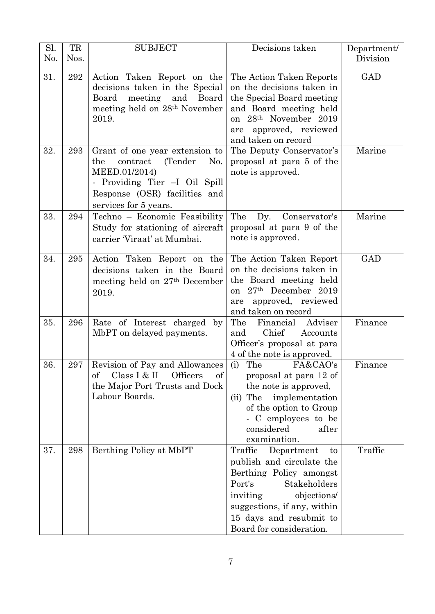| Sl. | TR   | <b>SUBJECT</b>                                                                                                                                                                               | Decisions taken                                                                                                                                                                                                             | Department/ |
|-----|------|----------------------------------------------------------------------------------------------------------------------------------------------------------------------------------------------|-----------------------------------------------------------------------------------------------------------------------------------------------------------------------------------------------------------------------------|-------------|
| No. | Nos. |                                                                                                                                                                                              |                                                                                                                                                                                                                             | Division    |
| 31. | 292  | Action Taken Report on the<br>decisions taken in the Special<br>Board<br>and<br>Board<br>meeting<br>meeting held on 28 <sup>th</sup> November<br>2019.                                       | The Action Taken Reports<br>on the decisions taken in<br>the Special Board meeting<br>and Board meeting held<br>on 28 <sup>th</sup> November 2019<br>approved, reviewed<br>are<br>and taken on record                       | <b>GAD</b>  |
| 32. | 293  | Grant of one year extension to<br>contract<br>(Tender<br>the<br>N <sub>0</sub> .<br>MEED.01/2014)<br>- Providing Tier -I Oil Spill<br>Response (OSR) facilities and<br>services for 5 years. | The Deputy Conservator's<br>proposal at para 5 of the<br>note is approved.                                                                                                                                                  | Marine      |
| 33. | 294  | Techno - Economic Feasibility<br>Study for stationing of aircraft<br>carrier 'Viraat' at Mumbai.                                                                                             | The<br>Dy.<br>Conservator's<br>proposal at para 9 of the<br>note is approved.                                                                                                                                               | Marine      |
| 34. | 295  | Action Taken Report on the<br>decisions taken in the Board<br>meeting held on 27 <sup>th</sup> December<br>2019.                                                                             | The Action Taken Report<br>on the decisions taken in<br>the Board meeting held<br>on 27th December 2019<br>approved, reviewed<br>are<br>and taken on record                                                                 | <b>GAD</b>  |
| 35. | 296  | Rate of Interest charged<br>by<br>MbPT on delayed payments.                                                                                                                                  | Adviser<br>The<br>Financial<br>Chief<br>Accounts<br>and<br>Officer's proposal at para<br>4 of the note is approved.                                                                                                         | Finance     |
| 36. | 297  | Revision of Pay and Allowances<br>Class I & II<br>$\sigma f$<br>Officers<br>of<br>the Major Port Trusts and Dock<br>Labour Boards.                                                           | (i) The<br>FA&CAO's<br>proposal at para 12 of<br>the note is approved,<br>implementation<br>$(ii)$ The<br>of the option to Group<br>- C employees to be<br>considered<br>after<br>examination.                              | Finance     |
| 37. | 298  | Berthing Policy at MbPT                                                                                                                                                                      | Traffic Department<br>to<br>publish and circulate the<br>Berthing Policy amongst<br>Stakeholders<br>Port's<br>objections/<br>inviting<br>suggestions, if any, within<br>15 days and resubmit to<br>Board for consideration. | Traffic     |